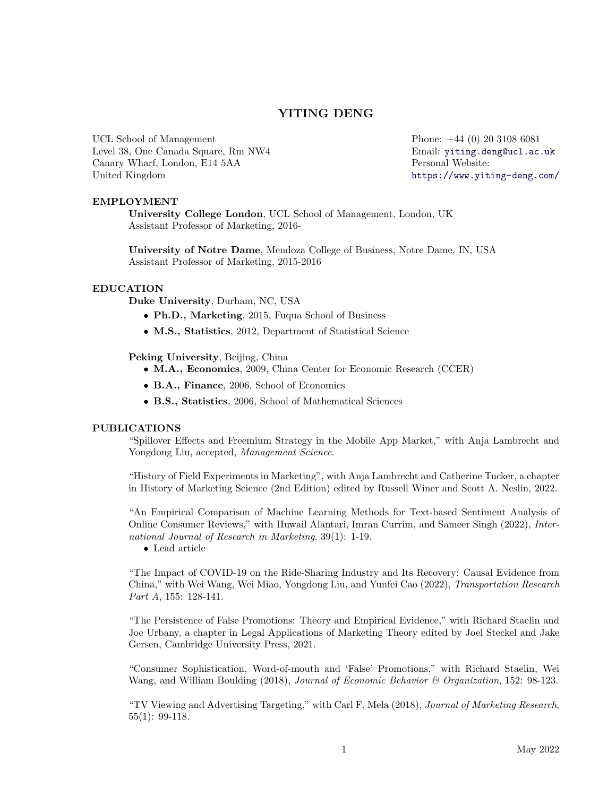# YITING DENG

UCL School of Management Level 38, One Canada Square, Rm NW4 Canary Wharf, London, E14 5AA United Kingdom

Phone: +44 (0) 20 3108 6081 Email: [yiting.deng@ucl.ac.uk](mailto:yiting.deng@ucl.ac.uk) Personal Website: <https://www.yiting-deng.com/>

## EMPLOYMENT

University College London, UCL School of Management, London, UK Assistant Professor of Marketing, 2016-

University of Notre Dame, Mendoza College of Business, Notre Dame, IN, USA Assistant Professor of Marketing, 2015-2016

#### EDUCATION

Duke University, Durham, NC, USA

- Ph.D., Marketing, 2015, Fuqua School of Business
- M.S., Statistics, 2012, Department of Statistical Science

Peking University, Beijing, China

- M.A., Economics, 2009, China Center for Economic Research (CCER)
- B.A., Finance, 2006, School of Economics
- B.S., Statistics, 2006, School of Mathematical Sciences

#### PUBLICATIONS

"Spillover Effects and Freemium Strategy in the Mobile App Market," with Anja Lambrecht and Yongdong Liu, accepted, Management Science.

"History of Field Experiments in Marketing", with Anja Lambrecht and Catherine Tucker, a chapter in History of Marketing Science (2nd Edition) edited by Russell Winer and Scott A. Neslin, 2022.

"An Empirical Comparison of Machine Learning Methods for Text-based Sentiment Analysis of Online Consumer Reviews," with Huwail Alantari, Imran Currim, and Sameer Singh (2022), International Journal of Research in Marketing, 39(1): 1-19.

• Lead article

"The Impact of COVID-19 on the Ride-Sharing Industry and Its Recovery: Causal Evidence from China," with Wei Wang, Wei Miao, Yongdong Liu, and Yunfei Cao (2022), Transportation Research Part A, 155: 128-141.

"The Persistence of False Promotions: Theory and Empirical Evidence," with Richard Staelin and Joe Urbany, a chapter in Legal Applications of Marketing Theory edited by Joel Steckel and Jake Gersen, Cambridge University Press, 2021.

"Consumer Sophistication, Word-of-mouth and 'False' Promotions," with Richard Staelin, Wei Wang, and William Boulding (2018), Journal of Economic Behavior & Organization, 152: 98-123.

"TV Viewing and Advertising Targeting," with Carl F. Mela (2018), Journal of Marketing Research, 55(1): 99-118.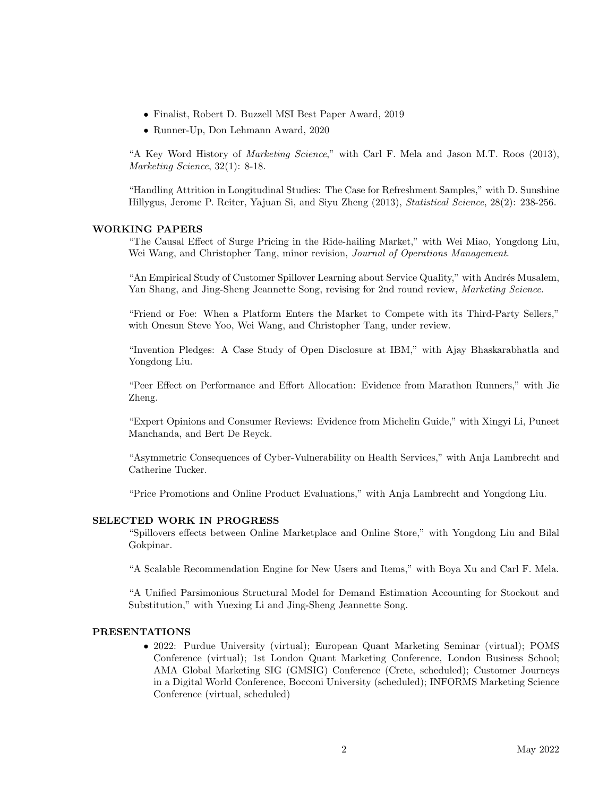- Finalist, Robert D. Buzzell MSI Best Paper Award, 2019
- Runner-Up, Don Lehmann Award, 2020

"A Key Word History of Marketing Science," with Carl F. Mela and Jason M.T. Roos (2013), Marketing Science, 32(1): 8-18.

"Handling Attrition in Longitudinal Studies: The Case for Refreshment Samples," with D. Sunshine Hillygus, Jerome P. Reiter, Yajuan Si, and Siyu Zheng (2013), Statistical Science, 28(2): 238-256.

## WORKING PAPERS

"The Causal Effect of Surge Pricing in the Ride-hailing Market," with Wei Miao, Yongdong Liu, Wei Wang, and Christopher Tang, minor revision, Journal of Operations Management.

"An Empirical Study of Customer Spillover Learning about Service Quality," with Andrés Musalem, Yan Shang, and Jing-Sheng Jeannette Song, revising for 2nd round review, Marketing Science.

"Friend or Foe: When a Platform Enters the Market to Compete with its Third-Party Sellers," with Onesun Steve Yoo, Wei Wang, and Christopher Tang, under review.

"Invention Pledges: A Case Study of Open Disclosure at IBM," with Ajay Bhaskarabhatla and Yongdong Liu.

"Peer Effect on Performance and Effort Allocation: Evidence from Marathon Runners," with Jie Zheng.

"Expert Opinions and Consumer Reviews: Evidence from Michelin Guide," with Xingyi Li, Puneet Manchanda, and Bert De Reyck.

"Asymmetric Consequences of Cyber-Vulnerability on Health Services," with Anja Lambrecht and Catherine Tucker.

"Price Promotions and Online Product Evaluations," with Anja Lambrecht and Yongdong Liu.

#### SELECTED WORK IN PROGRESS

"Spillovers effects between Online Marketplace and Online Store," with Yongdong Liu and Bilal Gokpinar.

"A Scalable Recommendation Engine for New Users and Items," with Boya Xu and Carl F. Mela.

"A Unified Parsimonious Structural Model for Demand Estimation Accounting for Stockout and Substitution," with Yuexing Li and Jing-Sheng Jeannette Song.

#### PRESENTATIONS

• 2022: Purdue University (virtual); European Quant Marketing Seminar (virtual); POMS Conference (virtual); 1st London Quant Marketing Conference, London Business School; AMA Global Marketing SIG (GMSIG) Conference (Crete, scheduled); Customer Journeys in a Digital World Conference, Bocconi University (scheduled); INFORMS Marketing Science Conference (virtual, scheduled)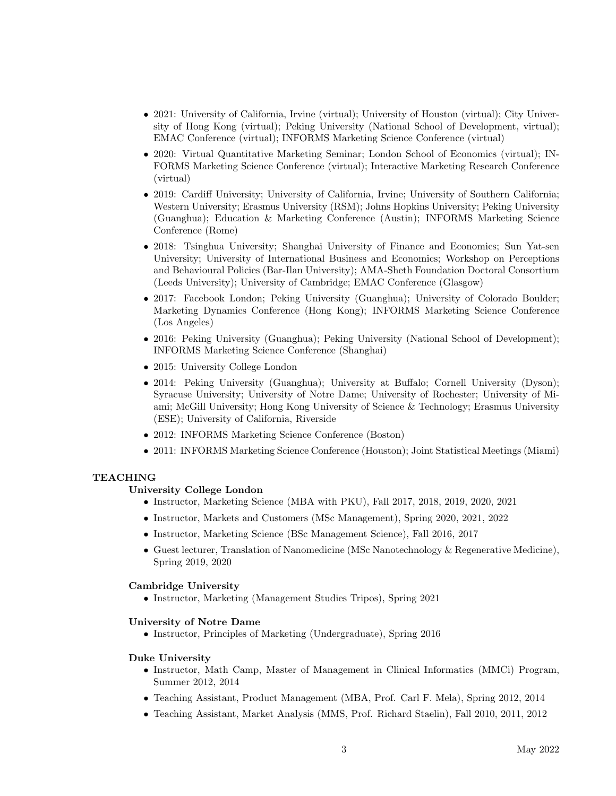- 2021: University of California, Irvine (virtual); University of Houston (virtual); City University of Hong Kong (virtual); Peking University (National School of Development, virtual); EMAC Conference (virtual); INFORMS Marketing Science Conference (virtual)
- 2020: Virtual Quantitative Marketing Seminar; London School of Economics (virtual); IN-FORMS Marketing Science Conference (virtual); Interactive Marketing Research Conference (virtual)
- 2019: Cardiff University; University of California, Irvine; University of Southern California; Western University; Erasmus University (RSM); Johns Hopkins University; Peking University (Guanghua); Education & Marketing Conference (Austin); INFORMS Marketing Science Conference (Rome)
- 2018: Tsinghua University; Shanghai University of Finance and Economics; Sun Yat-sen University; University of International Business and Economics; Workshop on Perceptions and Behavioural Policies (Bar-Ilan University); AMA-Sheth Foundation Doctoral Consortium (Leeds University); University of Cambridge; EMAC Conference (Glasgow)
- 2017: Facebook London; Peking University (Guanghua); University of Colorado Boulder; Marketing Dynamics Conference (Hong Kong); INFORMS Marketing Science Conference (Los Angeles)
- 2016: Peking University (Guanghua); Peking University (National School of Development); INFORMS Marketing Science Conference (Shanghai)
- 2015: University College London
- 2014: Peking University (Guanghua); University at Buffalo; Cornell University (Dyson); Syracuse University; University of Notre Dame; University of Rochester; University of Miami; McGill University; Hong Kong University of Science & Technology; Erasmus University (ESE); University of California, Riverside
- 2012: INFORMS Marketing Science Conference (Boston)
- 2011: INFORMS Marketing Science Conference (Houston); Joint Statistical Meetings (Miami)

## TEACHING

#### University College London

- Instructor, Marketing Science (MBA with PKU), Fall 2017, 2018, 2019, 2020, 2021
- Instructor, Markets and Customers (MSc Management), Spring 2020, 2021, 2022
- Instructor, Marketing Science (BSc Management Science), Fall 2016, 2017
- Guest lecturer, Translation of Nanomedicine (MSc Nanotechnology & Regenerative Medicine), Spring 2019, 2020

#### Cambridge University

• Instructor, Marketing (Management Studies Tripos), Spring 2021

#### University of Notre Dame

• Instructor, Principles of Marketing (Undergraduate), Spring 2016

## Duke University

- Instructor, Math Camp, Master of Management in Clinical Informatics (MMCi) Program, Summer 2012, 2014
- Teaching Assistant, Product Management (MBA, Prof. Carl F. Mela), Spring 2012, 2014
- Teaching Assistant, Market Analysis (MMS, Prof. Richard Staelin), Fall 2010, 2011, 2012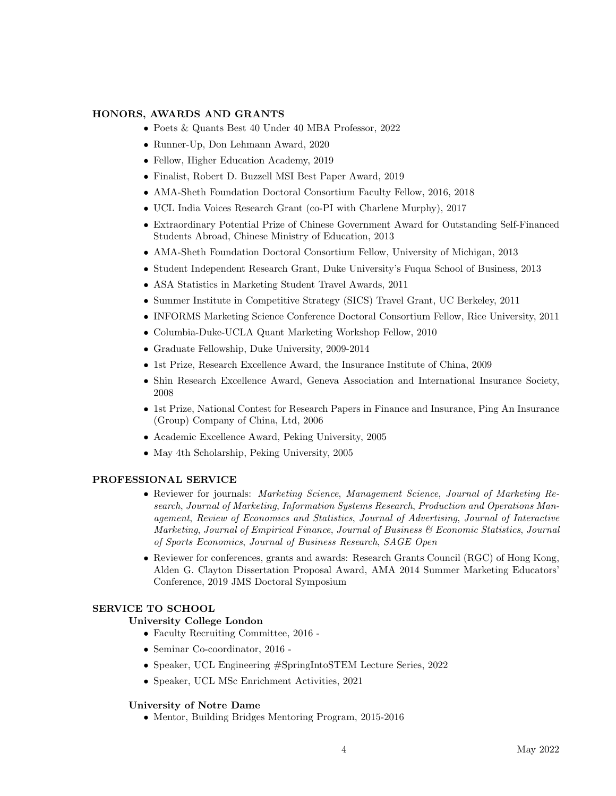## HONORS, AWARDS AND GRANTS

- Poets & Quants Best 40 Under 40 MBA Professor, 2022
- Runner-Up, Don Lehmann Award, 2020
- Fellow, Higher Education Academy, 2019
- Finalist, Robert D. Buzzell MSI Best Paper Award, 2019
- AMA-Sheth Foundation Doctoral Consortium Faculty Fellow, 2016, 2018
- UCL India Voices Research Grant (co-PI with Charlene Murphy), 2017
- Extraordinary Potential Prize of Chinese Government Award for Outstanding Self-Financed Students Abroad, Chinese Ministry of Education, 2013
- AMA-Sheth Foundation Doctoral Consortium Fellow, University of Michigan, 2013
- Student Independent Research Grant, Duke University's Fuqua School of Business, 2013
- ASA Statistics in Marketing Student Travel Awards, 2011
- Summer Institute in Competitive Strategy (SICS) Travel Grant, UC Berkeley, 2011
- INFORMS Marketing Science Conference Doctoral Consortium Fellow, Rice University, 2011
- Columbia-Duke-UCLA Quant Marketing Workshop Fellow, 2010
- Graduate Fellowship, Duke University, 2009-2014
- 1st Prize, Research Excellence Award, the Insurance Institute of China, 2009
- Shin Research Excellence Award, Geneva Association and International Insurance Society, 2008
- 1st Prize, National Contest for Research Papers in Finance and Insurance, Ping An Insurance (Group) Company of China, Ltd, 2006
- Academic Excellence Award, Peking University, 2005
- May 4th Scholarship, Peking University, 2005

#### PROFESSIONAL SERVICE

- Reviewer for journals: *Marketing Science, Management Science, Journal of Marketing Re*search, Journal of Marketing, Information Systems Research, Production and Operations Management, Review of Economics and Statistics, Journal of Advertising, Journal of Interactive Marketing, Journal of Empirical Finance, Journal of Business & Economic Statistics, Journal of Sports Economics, Journal of Business Research, SAGE Open
- Reviewer for conferences, grants and awards: Research Grants Council (RGC) of Hong Kong, Alden G. Clayton Dissertation Proposal Award, AMA 2014 Summer Marketing Educators' Conference, 2019 JMS Doctoral Symposium

## SERVICE TO SCHOOL

## University College London

- Faculty Recruiting Committee, 2016 -
- Seminar Co-coordinator, 2016 -
- Speaker, UCL Engineering #SpringIntoSTEM Lecture Series, 2022
- Speaker, UCL MSc Enrichment Activities, 2021

#### University of Notre Dame

• Mentor, Building Bridges Mentoring Program, 2015-2016